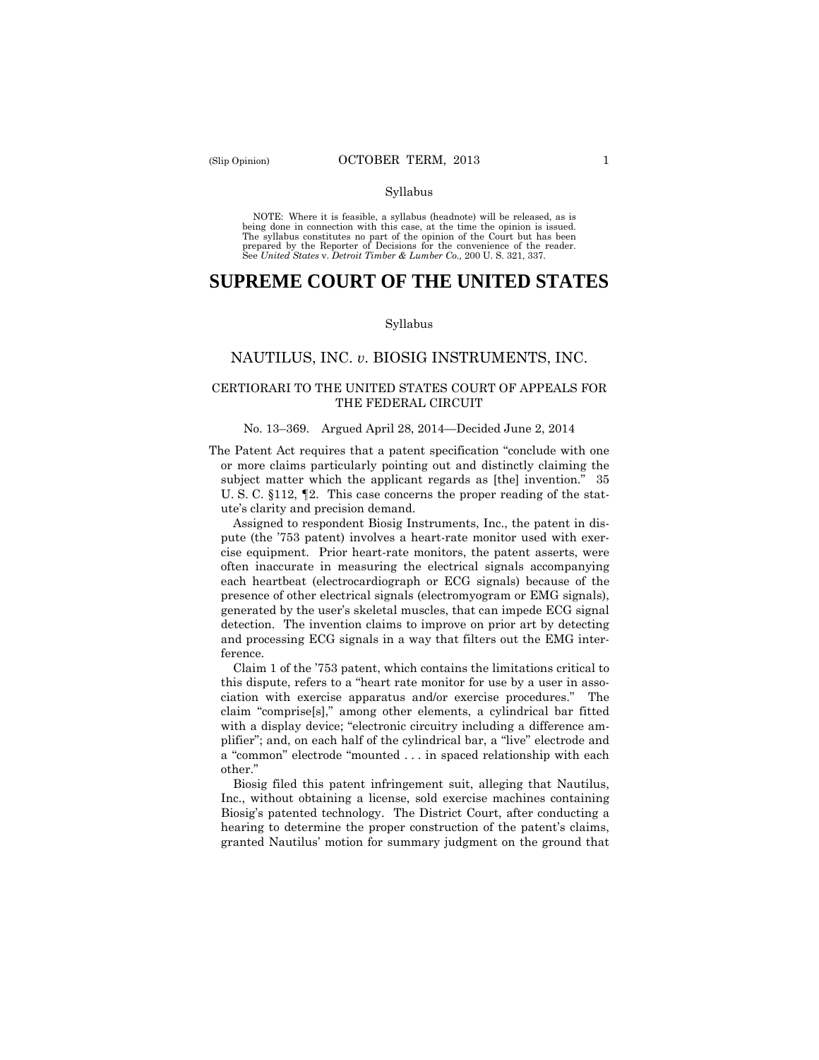#### Syllabus

 NOTE: Where it is feasible, a syllabus (headnote) will be released, as is being done in connection with this case, at the time the opinion is issued. The syllabus constitutes no part of the opinion of the Court but has been<br>prepared by the Reporter of Decisions for the convenience of the reader.<br>See United States v. Detroit Timber & Lumber Co., 200 U. S. 321, 337.

## **SUPREME COURT OF THE UNITED STATES**

#### Syllabus

#### NAUTILUS, INC. *v*. BIOSIG INSTRUMENTS, INC.

#### CERTIORARI TO THE UNITED STATES COURT OF APPEALS FOR THE FEDERAL CIRCUIT

#### No. 13–369. Argued April 28, 2014—Decided June 2, 2014

The Patent Act requires that a patent specification "conclude with one or more claims particularly pointing out and distinctly claiming the subject matter which the applicant regards as [the] invention." 35 U. S. C. §112, ¶2. This case concerns the proper reading of the statute's clarity and precision demand.

 ference. Claim 1 of the '753 patent, which contains the limitations critical to Assigned to respondent Biosig Instruments, Inc., the patent in dispute (the '753 patent) involves a heart-rate monitor used with exercise equipment. Prior heart-rate monitors, the patent asserts, were often inaccurate in measuring the electrical signals accompanying each heartbeat (electrocardiograph or ECG signals) because of the presence of other electrical signals (electromyogram or EMG signals), generated by the user's skeletal muscles, that can impede ECG signal detection. The invention claims to improve on prior art by detecting and processing ECG signals in a way that filters out the EMG inter-

this dispute, refers to a "heart rate monitor for use by a user in association with exercise apparatus and/or exercise procedures." The claim "comprise[s]," among other elements, a cylindrical bar fitted with a display device; "electronic circuitry including a difference amplifier"; and, on each half of the cylindrical bar, a "live" electrode and a "common" electrode "mounted . . . in spaced relationship with each other."

Biosig filed this patent infringement suit, alleging that Nautilus, Inc., without obtaining a license, sold exercise machines containing Biosig's patented technology. The District Court, after conducting a hearing to determine the proper construction of the patent's claims, granted Nautilus' motion for summary judgment on the ground that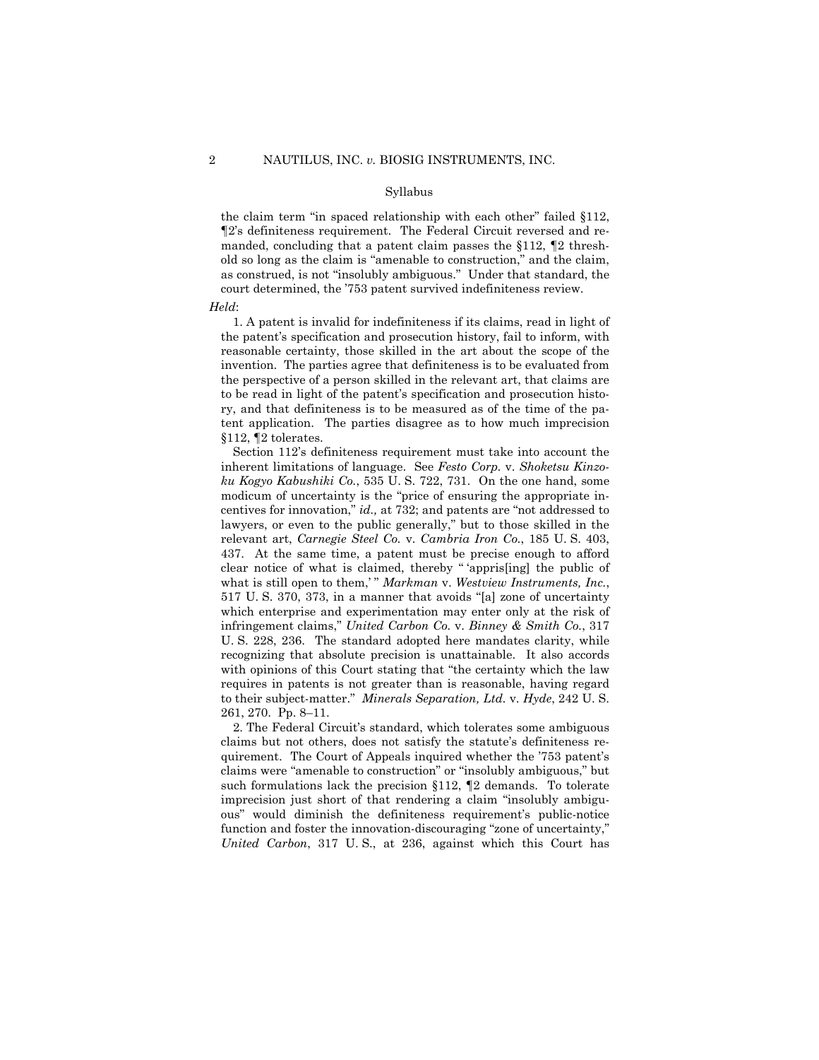#### Syllabus

the claim term "in spaced relationship with each other" failed §112, ¶2's definiteness requirement. The Federal Circuit reversed and remanded, concluding that a patent claim passes the §112, ¶2 threshold so long as the claim is "amenable to construction," and the claim, as construed, is not "insolubly ambiguous." Under that standard, the court determined, the '753 patent survived indefiniteness review.

#### *Held*:

1. A patent is invalid for indefiniteness if its claims, read in light of the patent's specification and prosecution history, fail to inform, with reasonable certainty, those skilled in the art about the scope of the invention. The parties agree that definiteness is to be evaluated from the perspective of a person skilled in the relevant art, that claims are to be read in light of the patent's specification and prosecution history, and that definiteness is to be measured as of the time of the patent application. The parties disagree as to how much imprecision §112, ¶2 tolerates.

Section 112's definiteness requirement must take into account the inherent limitations of language. See *Festo Corp.* v. *Shoketsu Kinzoku Kogyo Kabushiki Co.*, 535 U. S. 722, 731. On the one hand, some modicum of uncertainty is the "price of ensuring the appropriate incentives for innovation," *id.,* at 732; and patents are "not addressed to lawyers, or even to the public generally," but to those skilled in the relevant art, *Carnegie Steel Co.* v. *Cambria Iron Co.*, 185 U. S. 403, 437. At the same time, a patent must be precise enough to afford clear notice of what is claimed, thereby " 'appris[ing] the public of what is still open to them,'" Markman v. Westview Instruments, Inc., 517 U. S. 370, 373, in a manner that avoids "[a] zone of uncertainty which enterprise and experimentation may enter only at the risk of infringement claims," *United Carbon Co.* v. *Binney & Smith Co.*, 317 U. S. 228, 236. The standard adopted here mandates clarity, while recognizing that absolute precision is unattainable. It also accords with opinions of this Court stating that "the certainty which the law requires in patents is not greater than is reasonable, having regard to their subject-matter." *Minerals Separation, Ltd.* v. *Hyde*, 242 U. S. 261, 270. Pp. 8–11.

such formulations lack the precision  $§112$ ,  $\P2$  demands. To tolerate 2. The Federal Circuit's standard, which tolerates some ambiguous claims but not others, does not satisfy the statute's definiteness requirement. The Court of Appeals inquired whether the '753 patent's claims were "amenable to construction" or "insolubly ambiguous," but imprecision just short of that rendering a claim "insolubly ambiguous" would diminish the definiteness requirement's public-notice function and foster the innovation-discouraging "zone of uncertainty," *United Carbon*, 317 U. S., at 236, against which this Court has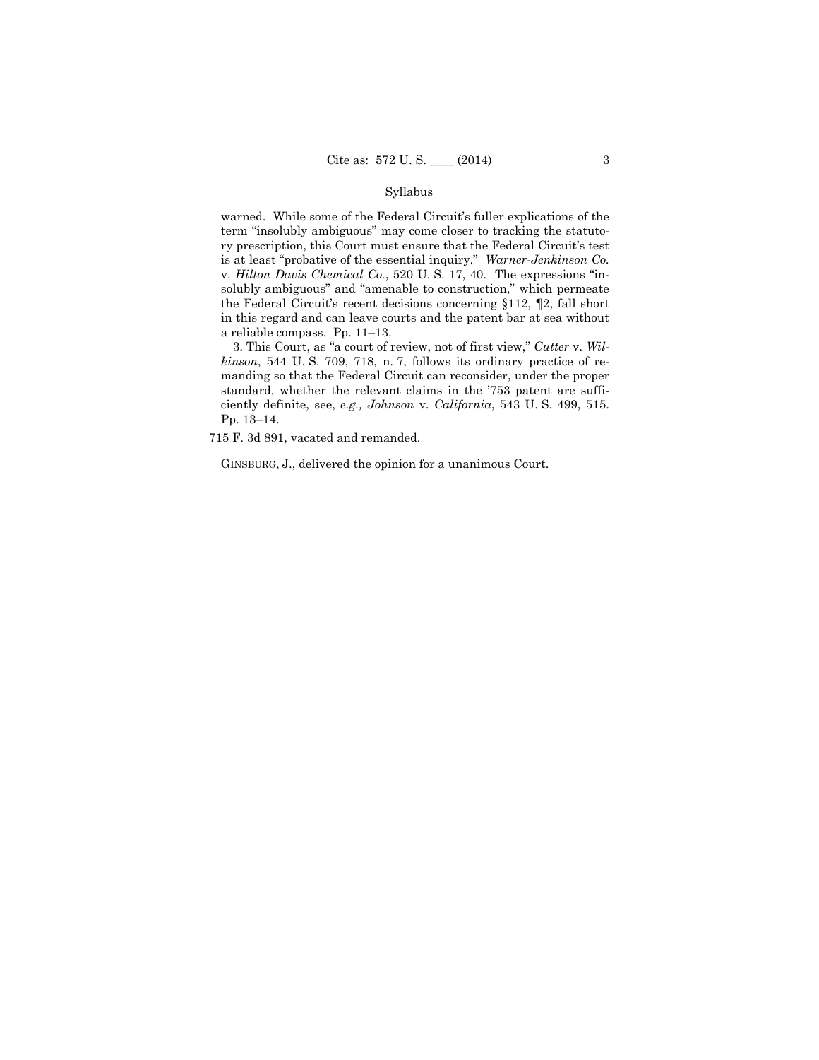#### Syllabus

warned. While some of the Federal Circuit's fuller explications of the term "insolubly ambiguous" may come closer to tracking the statutory prescription, this Court must ensure that the Federal Circuit's test is at least "probative of the essential inquiry." *Warner-Jenkinson Co.*  v. *Hilton Davis Chemical Co.*, 520 U. S. 17, 40. The expressions "insolubly ambiguous" and "amenable to construction," which permeate the Federal Circuit's recent decisions concerning §112, ¶2, fall short in this regard and can leave courts and the patent bar at sea without a reliable compass. Pp. 11–13.

3. This Court, as "a court of review, not of first view," *Cutter* v. *Wilkinson*, 544 U. S. 709, 718, n. 7, follows its ordinary practice of remanding so that the Federal Circuit can reconsider, under the proper standard, whether the relevant claims in the '753 patent are sufficiently definite, see, *e.g., Johnson* v. *California*, 543 U. S. 499, 515. Pp. 13–14.

715 F. 3d 891, vacated and remanded.

GINSBURG, J., delivered the opinion for a unanimous Court.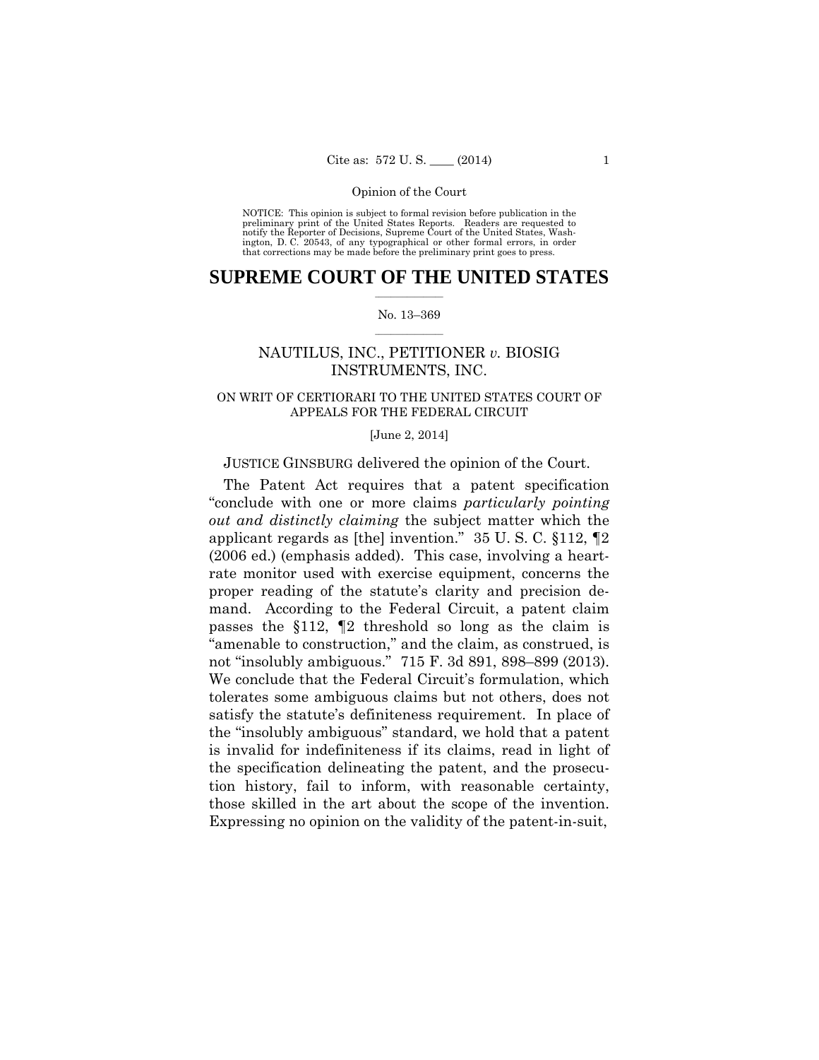preliminary print of the United States Reports. Readers are requested to notify the Reporter of Decisions, Supreme Court of the United States, Wash- ington, D. C. 20543, of any typographical or other formal errors, in order that corrections may be made before the preliminary print goes to press. NOTICE: This opinion is subject to formal revision before publication in the

#### $\frac{1}{2}$  ,  $\frac{1}{2}$  ,  $\frac{1}{2}$  ,  $\frac{1}{2}$  ,  $\frac{1}{2}$  ,  $\frac{1}{2}$  ,  $\frac{1}{2}$ **SUPREME COURT OF THE UNITED STATES**

#### $\frac{1}{2}$  ,  $\frac{1}{2}$  ,  $\frac{1}{2}$  ,  $\frac{1}{2}$  ,  $\frac{1}{2}$  ,  $\frac{1}{2}$ No. 13–369

## NAUTILUS, INC., PETITIONER *v.* BIOSIG INSTRUMENTS, INC.

## ON WRIT OF CERTIORARI TO THE UNITED STATES COURT OF APPEALS FOR THE FEDERAL CIRCUIT

#### [June 2, 2014]

#### JUSTICE GINSBURG delivered the opinion of the Court.

The Patent Act requires that a patent specification "conclude with one or more claims *particularly pointing out and distinctly claiming* the subject matter which the applicant regards as [the] invention." 35 U. S. C. §112, ¶2 (2006 ed.) (emphasis added). This case, involving a heartrate monitor used with exercise equipment, concerns the proper reading of the statute's clarity and precision demand. According to the Federal Circuit, a patent claim passes the §112, ¶2 threshold so long as the claim is "amenable to construction," and the claim, as construed, is not "insolubly ambiguous." 715 F. 3d 891, 898–899 (2013). We conclude that the Federal Circuit's formulation, which tolerates some ambiguous claims but not others, does not satisfy the statute's definiteness requirement. In place of the "insolubly ambiguous" standard, we hold that a patent is invalid for indefiniteness if its claims, read in light of the specification delineating the patent, and the prosecution history, fail to inform, with reasonable certainty, those skilled in the art about the scope of the invention. Expressing no opinion on the validity of the patent-in-suit,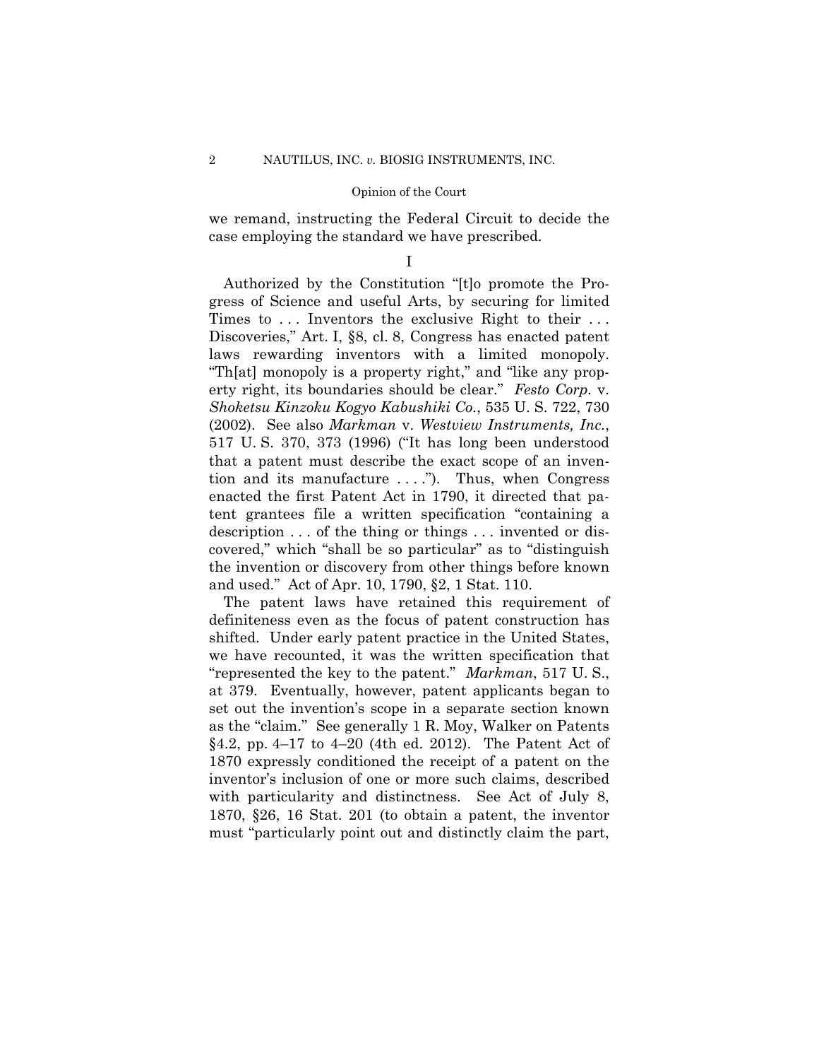we remand, instructing the Federal Circuit to decide the case employing the standard we have prescribed.

I

Authorized by the Constitution "[t]o promote the Progress of Science and useful Arts, by securing for limited Times to ... Inventors the exclusive Right to their ... Discoveries," Art. I, §8, cl. 8, Congress has enacted patent laws rewarding inventors with a limited monopoly. "Th[at] monopoly is a property right," and "like any property right, its boundaries should be clear." *Festo Corp.* v. *Shoketsu Kinzoku Kogyo Kabushiki Co.*, 535 U. S. 722, 730 (2002). See also *Markman* v. *Westview Instruments, Inc.*, 517 U. S. 370, 373 (1996) ("It has long been understood that a patent must describe the exact scope of an invention and its manufacture  $\dots$ ."). Thus, when Congress enacted the first Patent Act in 1790, it directed that patent grantees file a written specification "containing a description . . . of the thing or things . . . invented or discovered," which "shall be so particular" as to "distinguish the invention or discovery from other things before known and used." Act of Apr. 10, 1790, §2, 1 Stat. 110.

The patent laws have retained this requirement of definiteness even as the focus of patent construction has shifted. Under early patent practice in the United States, we have recounted, it was the written specification that "represented the key to the patent." *Markman*, 517 U. S., at 379. Eventually, however, patent applicants began to set out the invention's scope in a separate section known as the "claim." See generally 1 R. Moy, Walker on Patents  $§4.2, pp. 4–17$  to  $4–20$  (4th ed. 2012). The Patent Act of 1870 expressly conditioned the receipt of a patent on the inventor's inclusion of one or more such claims, described with particularity and distinctness. See Act of July 8, 1870, §26, 16 Stat. 201 (to obtain a patent, the inventor must "particularly point out and distinctly claim the part,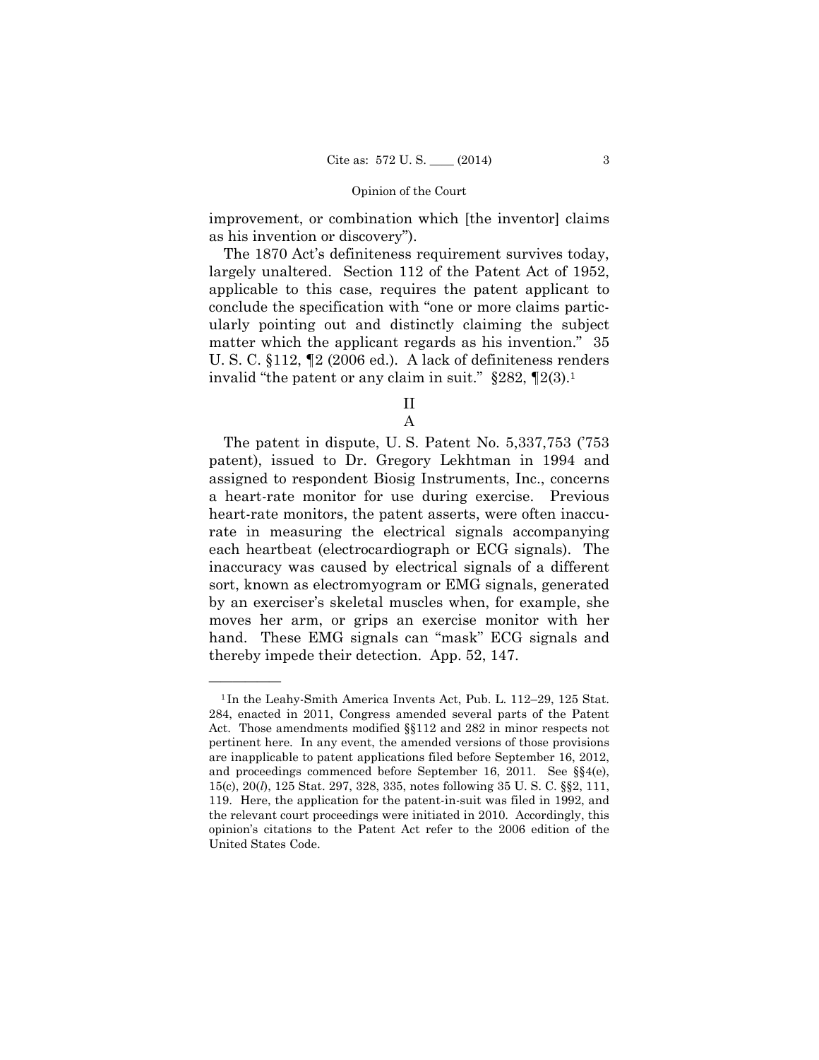improvement, or combination which [the inventor] claims as his invention or discovery").

The 1870 Act's definiteness requirement survives today, largely unaltered. Section 112 of the Patent Act of 1952, applicable to this case, requires the patent applicant to conclude the specification with "one or more claims particularly pointing out and distinctly claiming the subject matter which the applicant regards as his invention." 35 U. S. C. §112, ¶2 (2006 ed.). A lack of definiteness renders invalid "the patent or any claim in suit."  $\S 282$ ,  $\P 2(3)$ .<sup>1</sup>

II

A

The patent in dispute, U. S. Patent No. 5,337,753 ('753 patent), issued to Dr. Gregory Lekhtman in 1994 and assigned to respondent Biosig Instruments, Inc., concerns a heart-rate monitor for use during exercise. Previous heart-rate monitors, the patent asserts, were often inaccurate in measuring the electrical signals accompanying each heartbeat (electrocardiograph or ECG signals). The inaccuracy was caused by electrical signals of a different sort, known as electromyogram or EMG signals, generated by an exerciser's skeletal muscles when, for example, she moves her arm, or grips an exercise monitor with her hand. These EMG signals can "mask" ECG signals and thereby impede their detection. App. 52, 147.

<sup>1</sup> In the Leahy-Smith America Invents Act, Pub. L. 112–29, 125 Stat. 284, enacted in 2011, Congress amended several parts of the Patent Act. Those amendments modified §§112 and 282 in minor respects not pertinent here. In any event, the amended versions of those provisions are inapplicable to patent applications filed before September 16, 2012, and proceedings commenced before September 16, 2011. See §§4(e), 15(c), 20(*l*), 125 Stat. 297, 328, 335, notes following 35 U. S. C. §§2, 111, 119. Here, the application for the patent-in-suit was filed in 1992, and the relevant court proceedings were initiated in 2010. Accordingly, this opinion's citations to the Patent Act refer to the 2006 edition of the United States Code.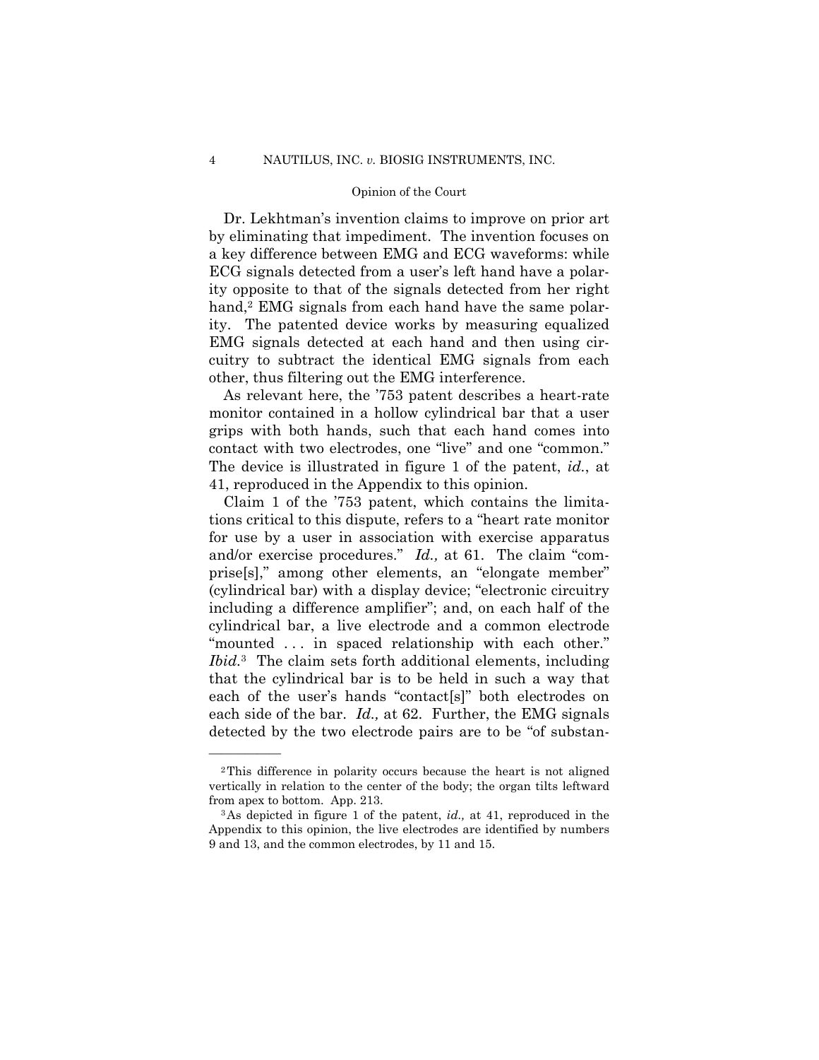Dr. Lekhtman's invention claims to improve on prior art by eliminating that impediment. The invention focuses on a key difference between EMG and ECG waveforms: while ECG signals detected from a user's left hand have a polarity opposite to that of the signals detected from her right hand,<sup>2</sup> EMG signals from each hand have the same polarity. The patented device works by measuring equalized EMG signals detected at each hand and then using circuitry to subtract the identical EMG signals from each other, thus filtering out the EMG interference.

As relevant here, the '753 patent describes a heart-rate monitor contained in a hollow cylindrical bar that a user grips with both hands, such that each hand comes into contact with two electrodes, one "live" and one "common." The device is illustrated in figure 1 of the patent, *id.*, at 41, reproduced in the Appendix to this opinion.

Claim 1 of the '753 patent, which contains the limitations critical to this dispute, refers to a "heart rate monitor for use by a user in association with exercise apparatus and/or exercise procedures." *Id.*, at 61. The claim "comprise[s]," among other elements, an "elongate member" (cylindrical bar) with a display device; "electronic circuitry including a difference amplifier"; and, on each half of the cylindrical bar, a live electrode and a common electrode "mounted . . . in spaced relationship with each other." *Ibid.*3 The claim sets forth additional elements, including that the cylindrical bar is to be held in such a way that each of the user's hands "contact[s]" both electrodes on each side of the bar. *Id.,* at 62. Further, the EMG signals detected by the two electrode pairs are to be "of substan

<sup>2</sup>This difference in polarity occurs because the heart is not aligned vertically in relation to the center of the body; the organ tilts leftward from apex to bottom. App. 213. 3As depicted in figure 1 of the patent, *id.,* at 41, reproduced in the

Appendix to this opinion, the live electrodes are identified by numbers 9 and 13, and the common electrodes, by 11 and 15.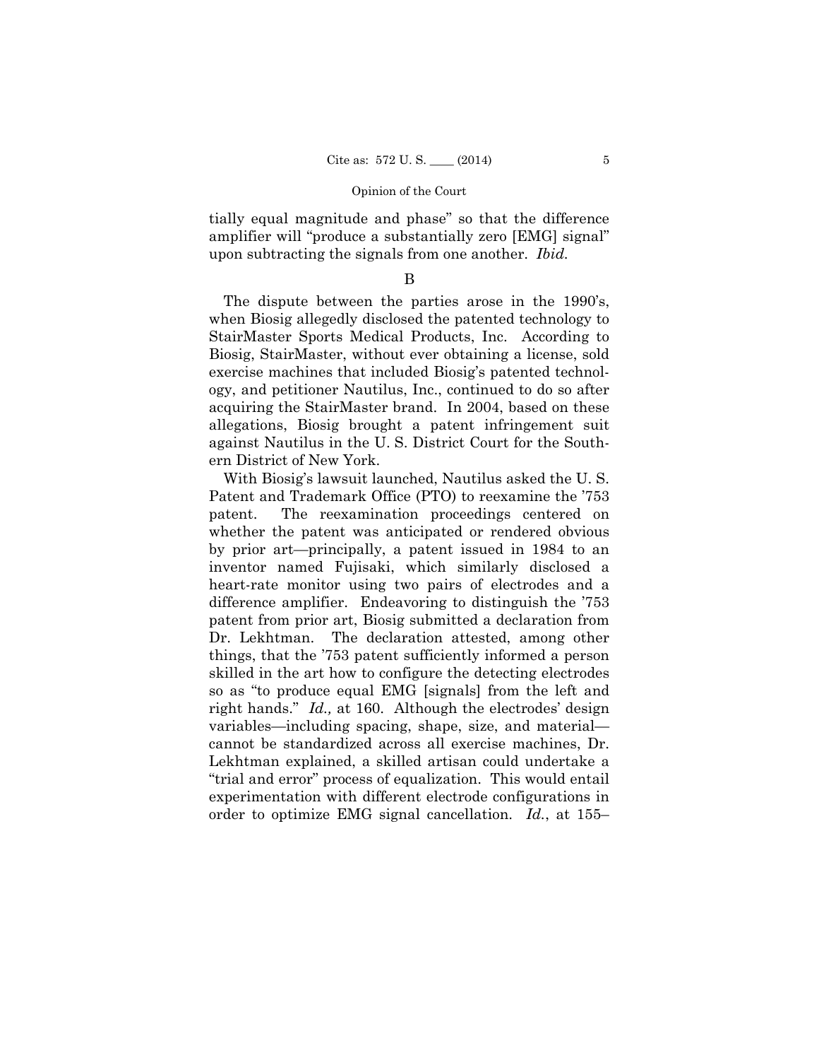tially equal magnitude and phase" so that the difference amplifier will "produce a substantially zero [EMG] signal" upon subtracting the signals from one another. *Ibid.* 

B

The dispute between the parties arose in the 1990's, when Biosig allegedly disclosed the patented technology to StairMaster Sports Medical Products, Inc. According to Biosig, StairMaster, without ever obtaining a license, sold exercise machines that included Biosig's patented technology, and petitioner Nautilus, Inc., continued to do so after acquiring the StairMaster brand. In 2004, based on these allegations, Biosig brought a patent infringement suit against Nautilus in the U. S. District Court for the Southern District of New York.

With Biosig's lawsuit launched, Nautilus asked the U. S. Patent and Trademark Office (PTO) to reexamine the '753 patent. The reexamination proceedings centered on whether the patent was anticipated or rendered obvious by prior art—principally, a patent issued in 1984 to an inventor named Fujisaki, which similarly disclosed a heart-rate monitor using two pairs of electrodes and a difference amplifier. Endeavoring to distinguish the '753 patent from prior art, Biosig submitted a declaration from Dr. Lekhtman. The declaration attested, among other things, that the '753 patent sufficiently informed a person skilled in the art how to configure the detecting electrodes so as "to produce equal EMG [signals] from the left and right hands." *Id.,* at 160. Although the electrodes' design variables—including spacing, shape, size, and material cannot be standardized across all exercise machines, Dr. Lekhtman explained, a skilled artisan could undertake a "trial and error" process of equalization. This would entail experimentation with different electrode configurations in order to optimize EMG signal cancellation. *Id.*, at 155–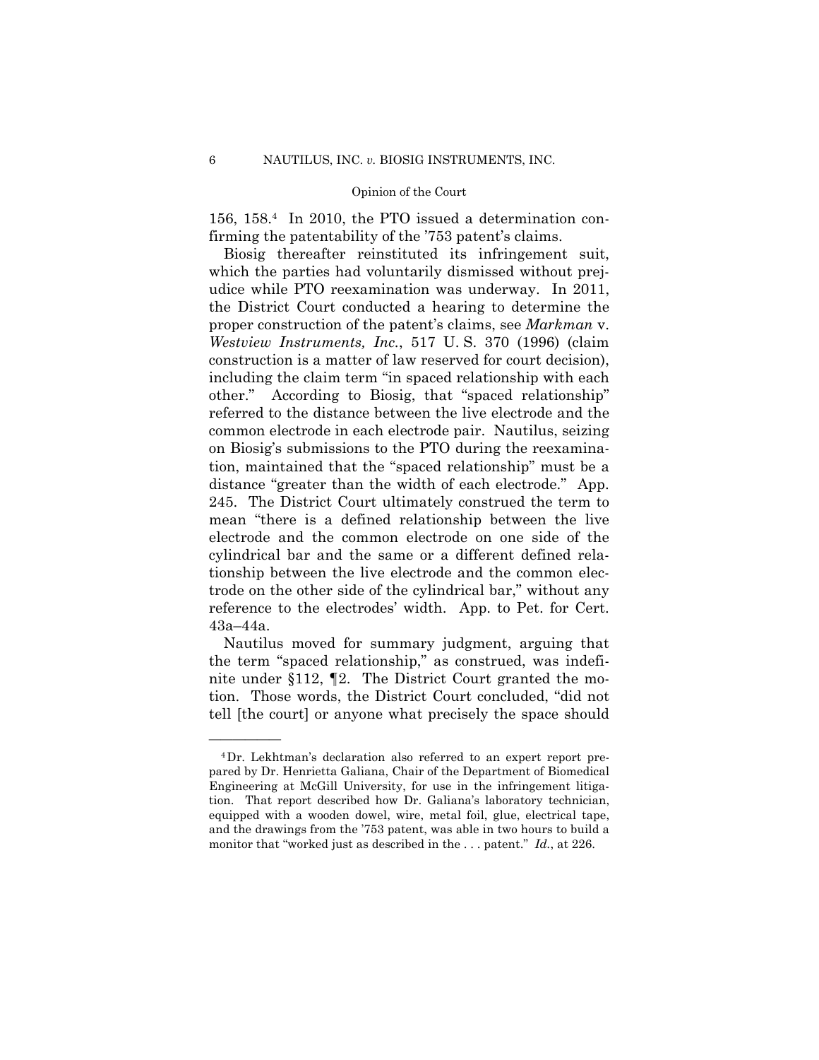156, 158.4 In 2010, the PTO issued a determination confirming the patentability of the '753 patent's claims.

Biosig thereafter reinstituted its infringement suit, which the parties had voluntarily dismissed without prejudice while PTO reexamination was underway. In 2011, the District Court conducted a hearing to determine the proper construction of the patent's claims, see *Markman* v. *Westview Instruments, Inc.*, 517 U. S. 370 (1996) (claim construction is a matter of law reserved for court decision), including the claim term "in spaced relationship with each other." According to Biosig, that "spaced relationship" referred to the distance between the live electrode and the common electrode in each electrode pair. Nautilus, seizing on Biosig's submissions to the PTO during the reexamination, maintained that the "spaced relationship" must be a distance "greater than the width of each electrode." App. 245. The District Court ultimately construed the term to mean "there is a defined relationship between the live electrode and the common electrode on one side of the cylindrical bar and the same or a different defined relationship between the live electrode and the common electrode on the other side of the cylindrical bar," without any reference to the electrodes' width. App. to Pet. for Cert. 43a–44a.

Nautilus moved for summary judgment, arguing that the term "spaced relationship," as construed, was indefinite under §112, ¶2. The District Court granted the motion. Those words, the District Court concluded, "did not tell [the court] or anyone what precisely the space should

<sup>4</sup>Dr. Lekhtman's declaration also referred to an expert report prepared by Dr. Henrietta Galiana, Chair of the Department of Biomedical Engineering at McGill University, for use in the infringement litigation. That report described how Dr. Galiana's laboratory technician, equipped with a wooden dowel, wire, metal foil, glue, electrical tape, and the drawings from the '753 patent, was able in two hours to build a monitor that "worked just as described in the . . . patent." *Id.*, at 226.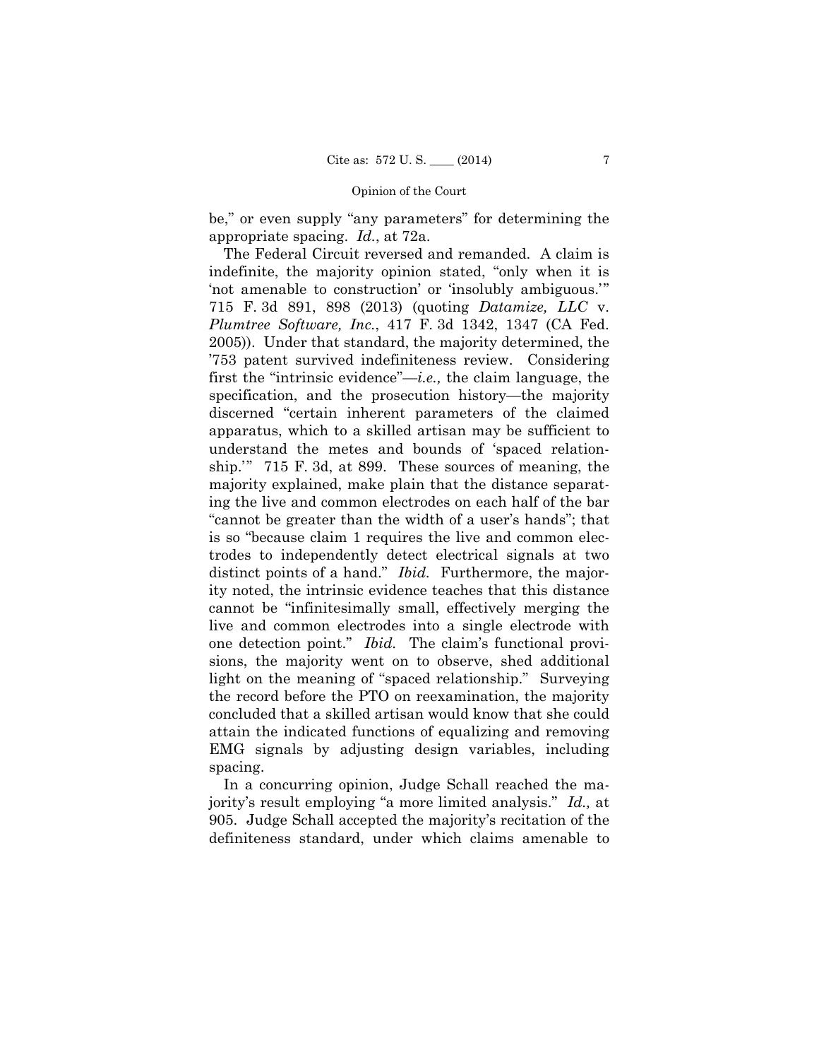be," or even supply "any parameters" for determining the appropriate spacing. *Id.*, at 72a.

 ship.'" 715 F. 3d, at 899. These sources of meaning, the  one detection point." *Ibid.* The claim's functional provi-The Federal Circuit reversed and remanded. A claim is indefinite, the majority opinion stated, "only when it is 'not amenable to construction' or 'insolubly ambiguous.'" 715 F. 3d 891, 898 (2013) (quoting *Datamize, LLC* v. *Plumtree Software, Inc.*, 417 F. 3d 1342, 1347 (CA Fed. 2005)). Under that standard, the majority determined, the '753 patent survived indefiniteness review. Considering first the "intrinsic evidence"—*i.e.,* the claim language, the specification, and the prosecution history—the majority discerned "certain inherent parameters of the claimed apparatus, which to a skilled artisan may be sufficient to understand the metes and bounds of 'spaced relationmajority explained, make plain that the distance separating the live and common electrodes on each half of the bar "cannot be greater than the width of a user's hands"; that is so "because claim 1 requires the live and common electrodes to independently detect electrical signals at two distinct points of a hand." *Ibid.* Furthermore, the majority noted, the intrinsic evidence teaches that this distance cannot be "infinitesimally small, effectively merging the live and common electrodes into a single electrode with sions, the majority went on to observe, shed additional light on the meaning of "spaced relationship." Surveying the record before the PTO on reexamination, the majority concluded that a skilled artisan would know that she could attain the indicated functions of equalizing and removing EMG signals by adjusting design variables, including spacing.

In a concurring opinion, Judge Schall reached the majority's result employing "a more limited analysis." *Id.,* at 905. Judge Schall accepted the majority's recitation of the definiteness standard, under which claims amenable to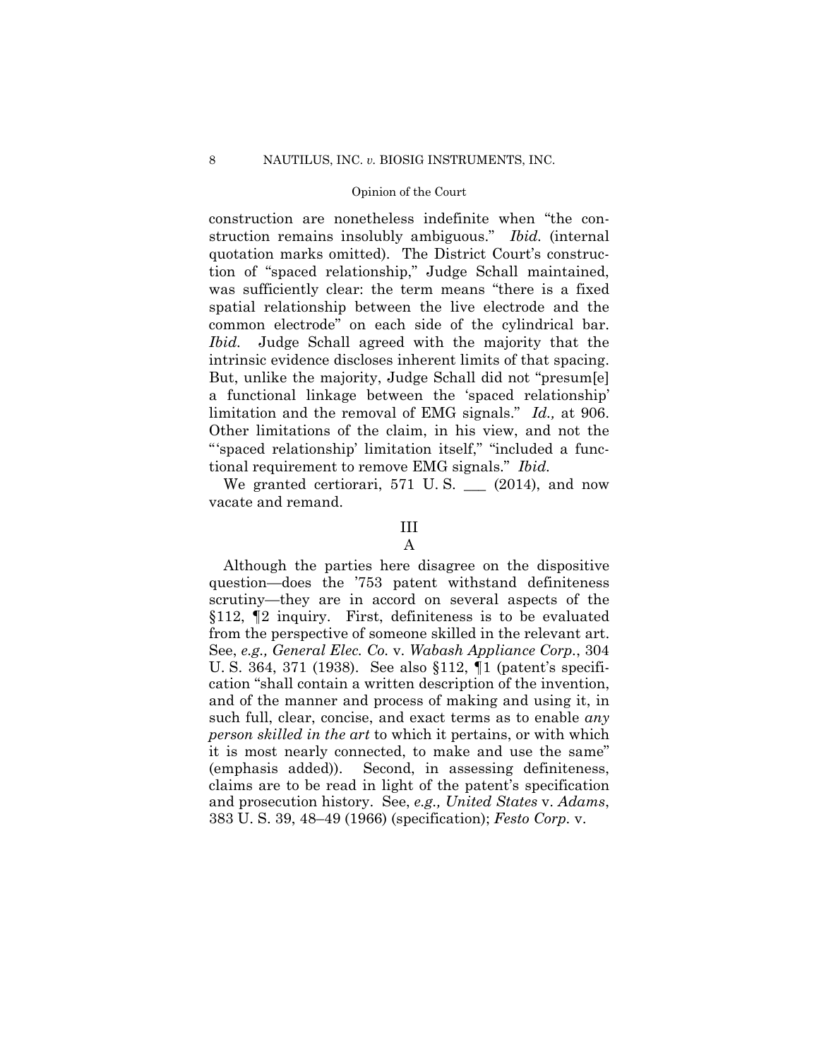construction are nonetheless indefinite when "the construction remains insolubly ambiguous." *Ibid.* (internal quotation marks omitted). The District Court's construction of "spaced relationship," Judge Schall maintained, was sufficiently clear: the term means "there is a fixed spatial relationship between the live electrode and the common electrode" on each side of the cylindrical bar. *Ibid.* Judge Schall agreed with the majority that the intrinsic evidence discloses inherent limits of that spacing. But, unlike the majority, Judge Schall did not "presum[e] a functional linkage between the 'spaced relationship' limitation and the removal of EMG signals." *Id.,* at 906. Other limitations of the claim, in his view, and not the "'spaced relationship' limitation itself," "included a functional requirement to remove EMG signals." *Ibid.* 

We granted certiorari,  $571$  U.S.  $\_\_$  (2014), and now vacate and remand.

#### III

A

Although the parties here disagree on the dispositive question—does the '753 patent withstand definiteness scrutiny—they are in accord on several aspects of the §112, ¶2 inquiry. First, definiteness is to be evaluated from the perspective of someone skilled in the relevant art. See, *e.g., General Elec. Co.* v. *Wabash Appliance Corp.*, 304 U. S. 364, 371 (1938). See also §112, ¶1 (patent's specification "shall contain a written description of the invention, and of the manner and process of making and using it, in such full, clear, concise, and exact terms as to enable *any person skilled in the art* to which it pertains, or with which it is most nearly connected, to make and use the same" (emphasis added)). Second, in assessing definiteness, claims are to be read in light of the patent's specification and prosecution history. See, *e.g., United States* v. *Adams*, 383 U. S. 39, 48–49 (1966) (specification); *Festo Corp.* v.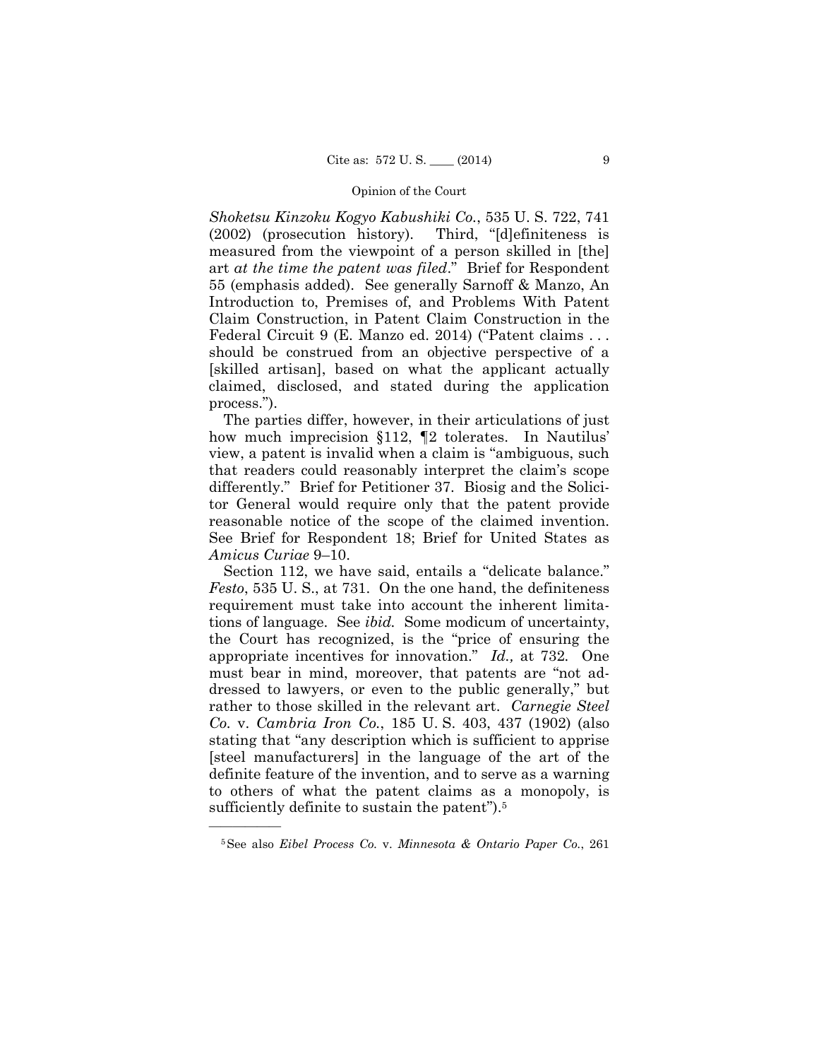*Shoketsu Kinzoku Kogyo Kabushiki Co.*, 535 U. S. 722, 741 (2002) (prosecution history). Third, "[d]efiniteness is measured from the viewpoint of a person skilled in [the] art *at the time the patent was filed*." Brief for Respondent 55 (emphasis added). See generally Sarnoff & Manzo, An Introduction to, Premises of, and Problems With Patent Claim Construction, in Patent Claim Construction in the Federal Circuit 9 (E. Manzo ed. 2014) ("Patent claims . . . should be construed from an objective perspective of a [skilled artisan], based on what the applicant actually claimed, disclosed, and stated during the application process.").

The parties differ, however, in their articulations of just how much imprecision §112, ¶2 tolerates. In Nautilus' view, a patent is invalid when a claim is "ambiguous, such that readers could reasonably interpret the claim's scope differently." Brief for Petitioner 37. Biosig and the Solicitor General would require only that the patent provide reasonable notice of the scope of the claimed invention. See Brief for Respondent 18; Brief for United States as *Amicus Curiae* 9–10.

 tions of language. See *ibid.* Some modicum of uncertainty, Section 112, we have said, entails a "delicate balance." *Festo*, 535 U. S., at 731. On the one hand, the definiteness requirement must take into account the inherent limitathe Court has recognized, is the "price of ensuring the appropriate incentives for innovation." *Id.,* at 732*.* One must bear in mind, moreover, that patents are "not addressed to lawyers, or even to the public generally," but rather to those skilled in the relevant art. *Carnegie Steel Co.* v. *Cambria Iron Co.*, 185 U. S. 403, 437 (1902) (also stating that "any description which is sufficient to apprise [steel manufacturers] in the language of the art of the definite feature of the invention, and to serve as a warning to others of what the patent claims as a monopoly, is sufficiently definite to sustain the patent").5

<sup>5</sup>See also *Eibel Process Co.* v. *Minnesota & Ontario Paper Co.*, 261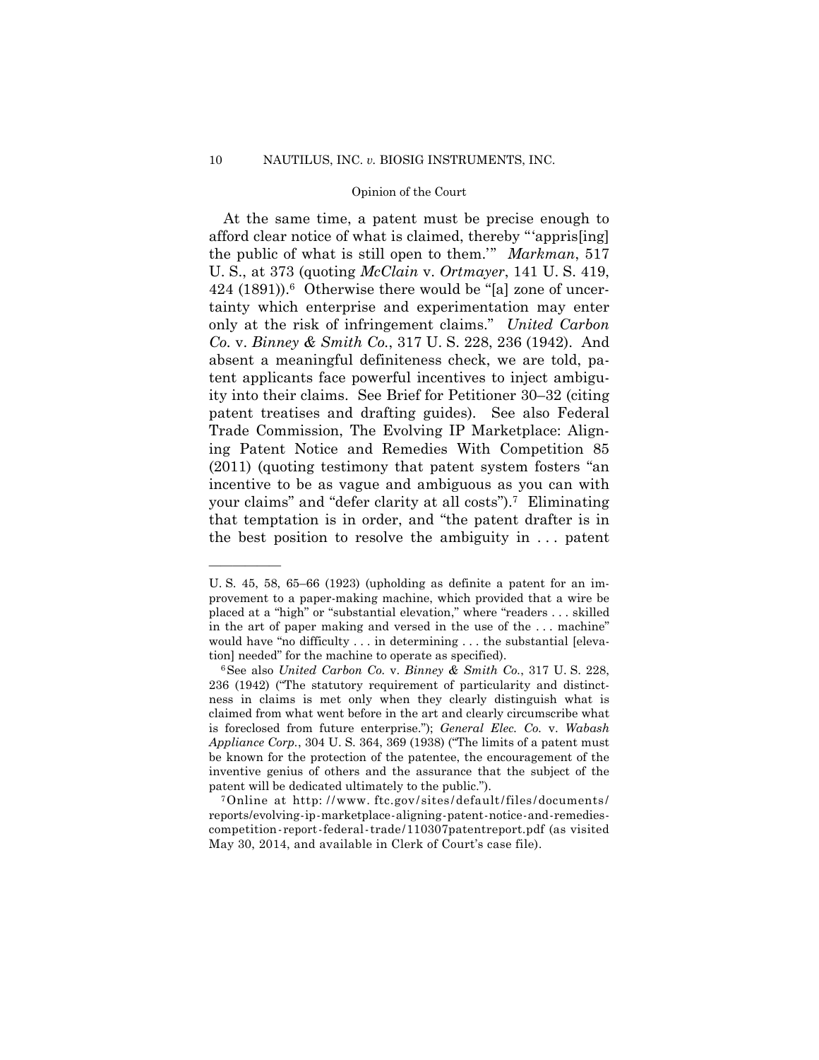your claims" and "defer clarity at all costs").7 Eliminating At the same time, a patent must be precise enough to afford clear notice of what is claimed, thereby "'appris[ing] the public of what is still open to them.'" *Markman*, 517 U. S., at 373 (quoting *McClain* v. *Ortmayer*, 141 U. S. 419, 424 (1891)).6 Otherwise there would be "[a] zone of uncertainty which enterprise and experimentation may enter only at the risk of infringement claims." *United Carbon Co.* v. *Binney & Smith Co.*, 317 U. S. 228, 236 (1942). And absent a meaningful definiteness check, we are told, patent applicants face powerful incentives to inject ambiguity into their claims. See Brief for Petitioner 30–32 (citing patent treatises and drafting guides). See also Federal Trade Commission, The Evolving IP Marketplace: Aligning Patent Notice and Remedies With Competition 85 (2011) (quoting testimony that patent system fosters "an incentive to be as vague and ambiguous as you can with that temptation is in order, and "the patent drafter is in the best position to resolve the ambiguity in . . . patent

patent will be dedicated ultimately to the public.").<br><sup>7</sup>Online at http://www.ftc.gov/sites/default/files/documents/ reports/evolving-ip-marketplace-aligning-patent-notice-and-remedies- competition-report-federal-trade/110307patentreport.pdf (as visited May 30, 2014, and available in Clerk of Court's case file).

U. S. 45, 58, 65–66 (1923) (upholding as definite a patent for an improvement to a paper-making machine, which provided that a wire be placed at a "high" or "substantial elevation," where "readers . . . skilled in the art of paper making and versed in the use of the . . . machine" would have "no difficulty . . . in determining . . . the substantial [eleva-

tion] needed" for the machine to operate as specified).<br><sup>6</sup>See also *United Carbon Co.* v. *Binney & Smith Co.*, 317 U. S. 228, 236 (1942) ("The statutory requirement of particularity and distinctness in claims is met only when they clearly distinguish what is claimed from what went before in the art and clearly circumscribe what is foreclosed from future enterprise."); *General Elec. Co.* v. *Wabash Appliance Corp.*, 304 U. S. 364, 369 (1938) ("The limits of a patent must be known for the protection of the patentee, the encouragement of the inventive genius of others and the assurance that the subject of the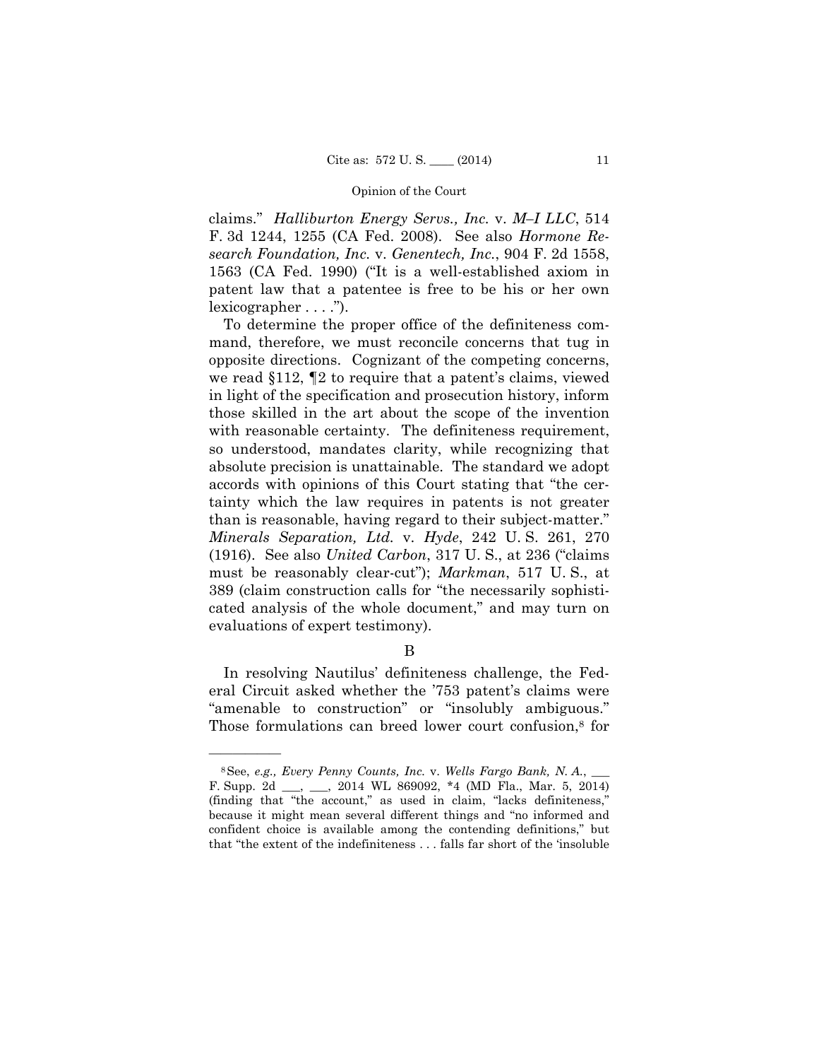claims." *Halliburton Energy Servs., Inc.* v. *M–I LLC*, 514 F. 3d 1244, 1255 (CA Fed. 2008). See also *Hormone Research Foundation, Inc.* v. *Genentech, Inc.*, 904 F. 2d 1558, 1563 (CA Fed. 1990) ("It is a well-established axiom in patent law that a patentee is free to be his or her own lexicographer . . . .").

 cated analysis of the whole document," and may turn on To determine the proper office of the definiteness command, therefore, we must reconcile concerns that tug in opposite directions. Cognizant of the competing concerns, we read §112, ¶2 to require that a patent's claims, viewed in light of the specification and prosecution history, inform those skilled in the art about the scope of the invention with reasonable certainty. The definiteness requirement, so understood, mandates clarity, while recognizing that absolute precision is unattainable. The standard we adopt accords with opinions of this Court stating that "the certainty which the law requires in patents is not greater than is reasonable, having regard to their subject-matter." *Minerals Separation, Ltd.* v. *Hyde*, 242 U. S. 261, 270 (1916). See also *United Carbon*, 317 U. S., at 236 ("claims must be reasonably clear-cut"); *Markman*, 517 U. S., at 389 (claim construction calls for "the necessarily sophistievaluations of expert testimony).

## B

In resolving Nautilus' definiteness challenge, the Federal Circuit asked whether the '753 patent's claims were "amenable to construction" or "insolubly ambiguous." Those formulations can breed lower court confusion,<sup>8</sup> for

<sup>8</sup>See, *e.g., Every Penny Counts, Inc.* v. *Wells Fargo Bank, N. A.*, \_\_\_ F. Supp. 2d \_\_\_, \_\_\_, 2014 WL 869092, \*4 (MD Fla., Mar. 5, 2014) (finding that "the account," as used in claim, "lacks definiteness," because it might mean several different things and "no informed and confident choice is available among the contending definitions," but that "the extent of the indefiniteness . . . falls far short of the 'insoluble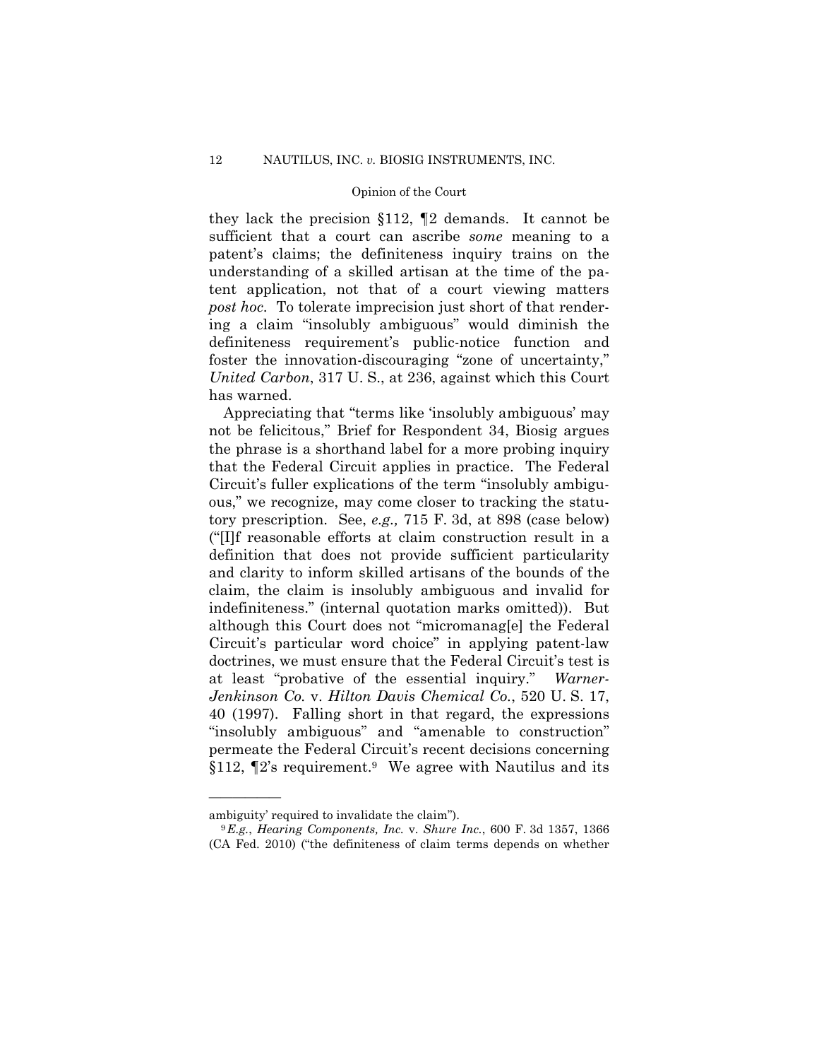they lack the precision §112, ¶2 demands. It cannot be sufficient that a court can ascribe *some* meaning to a patent's claims; the definiteness inquiry trains on the understanding of a skilled artisan at the time of the patent application, not that of a court viewing matters *post hoc*. To tolerate imprecision just short of that rendering a claim "insolubly ambiguous" would diminish the definiteness requirement's public-notice function and foster the innovation-discouraging "zone of uncertainty," *United Carbon*, 317 U. S., at 236, against which this Court has warned.

Appreciating that "terms like 'insolubly ambiguous' may not be felicitous," Brief for Respondent 34, Biosig argues the phrase is a shorthand label for a more probing inquiry that the Federal Circuit applies in practice. The Federal Circuit's fuller explications of the term "insolubly ambiguous," we recognize, may come closer to tracking the statutory prescription. See, *e.g.,* 715 F. 3d, at 898 (case below) ("[I]f reasonable efforts at claim construction result in a definition that does not provide sufficient particularity and clarity to inform skilled artisans of the bounds of the claim, the claim is insolubly ambiguous and invalid for indefiniteness." (internal quotation marks omitted)). But although this Court does not "micromanag[e] the Federal Circuit's particular word choice" in applying patent-law doctrines, we must ensure that the Federal Circuit's test is at least "probative of the essential inquiry." *Warner-Jenkinson Co.* v. *Hilton Davis Chemical Co.*, 520 U. S. 17, 40 (1997). Falling short in that regard, the expressions "insolubly ambiguous" and "amenable to construction" permeate the Federal Circuit's recent decisions concerning  $§112$ ,  $\P2$ 's requirement.<sup>9</sup> We agree with Nautilus and its

ambiguity' required to invalidate the claim"). 9 *E.g.*, *Hearing Components, Inc.* v. *Shure Inc.*, 600 F. 3d 1357, 1366 (CA Fed. 2010) ("the definiteness of claim terms depends on whether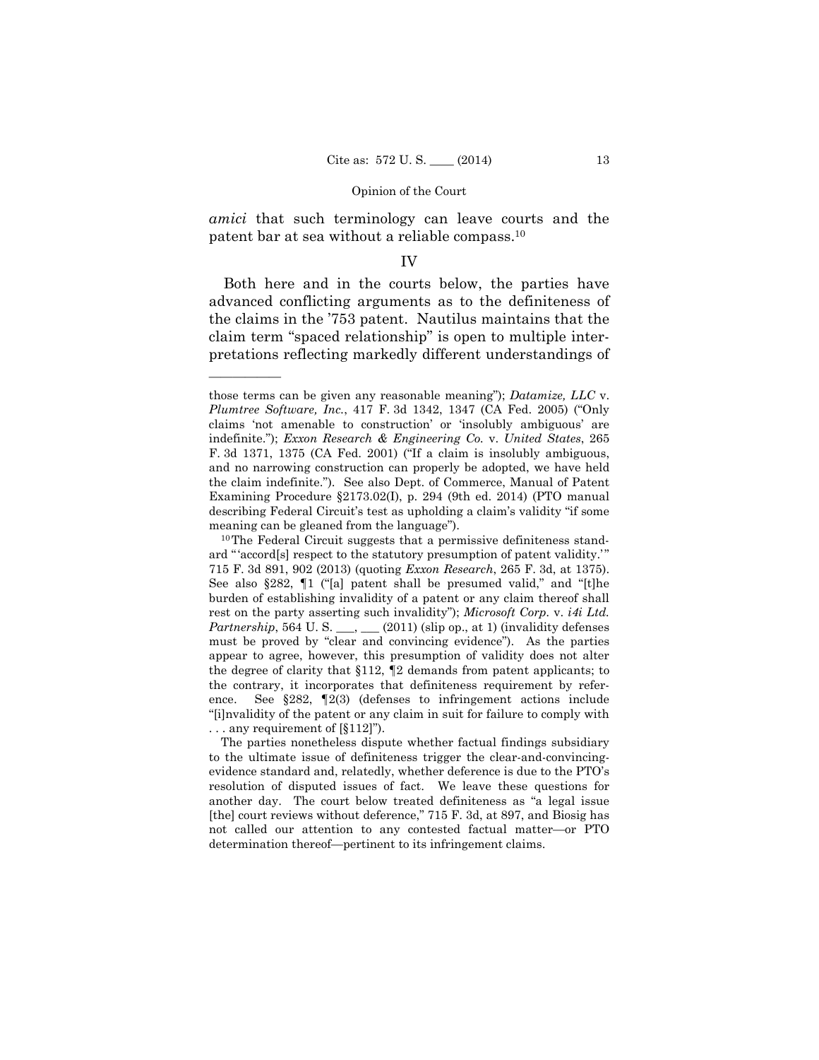*amici* that such terminology can leave courts and the patent bar at sea without a reliable compass.10

#### IV

Both here and in the courts below, the parties have advanced conflicting arguments as to the definiteness of the claims in the '753 patent. Nautilus maintains that the claim term "spaced relationship" is open to multiple interpretations reflecting markedly different understandings of

those terms can be given any reasonable meaning"); *Datamize, LLC* v. *Plumtree Software, Inc.*, 417 F. 3d 1342, 1347 (CA Fed. 2005) ("Only claims 'not amenable to construction' or 'insolubly ambiguous' are indefinite."); *Exxon Research & Engineering Co.* v. *United States*, 265 F. 3d 1371, 1375 (CA Fed. 2001) ("If a claim is insolubly ambiguous, and no narrowing construction can properly be adopted, we have held the claim indefinite."). See also Dept. of Commerce, Manual of Patent Examining Procedure §2173.02(I), p. 294 (9th ed. 2014) (PTO manual describing Federal Circuit's test as upholding a claim's validity "if some meaning can be gleaned from the language").<br><sup>10</sup>The Federal Circuit suggests that a permissive definiteness stand-

must be proved by "clear and convincing evidence"). As the parties ard " 'accord<sup>[s]</sup> respect to the statutory presumption of patent validity.'" 715 F. 3d 891, 902 (2013) (quoting *Exxon Research*, 265 F. 3d, at 1375). See also §282, ¶1 ("[a] patent shall be presumed valid," and "[t]he burden of establishing invalidity of a patent or any claim thereof shall rest on the party asserting such invalidity"); *Microsoft Corp.* v. *i4i Ltd. Partnership*, 564 U. S. \_\_, \_\_ (2011) (slip op., at 1) (invalidity defenses appear to agree, however, this presumption of validity does not alter the degree of clarity that §112, ¶2 demands from patent applicants; to the contrary, it incorporates that definiteness requirement by reference. See §282, ¶2(3) (defenses to infringement actions include "[i]nvalidity of the patent or any claim in suit for failure to comply with . . . any requirement of [§112]").

The parties nonetheless dispute whether factual findings subsidiary to the ultimate issue of definiteness trigger the clear-and-convincingevidence standard and, relatedly, whether deference is due to the PTO's resolution of disputed issues of fact. We leave these questions for another day. The court below treated definiteness as "a legal issue [the] court reviews without deference," 715 F. 3d, at 897, and Biosig has not called our attention to any contested factual matter—or PTO determination thereof—pertinent to its infringement claims.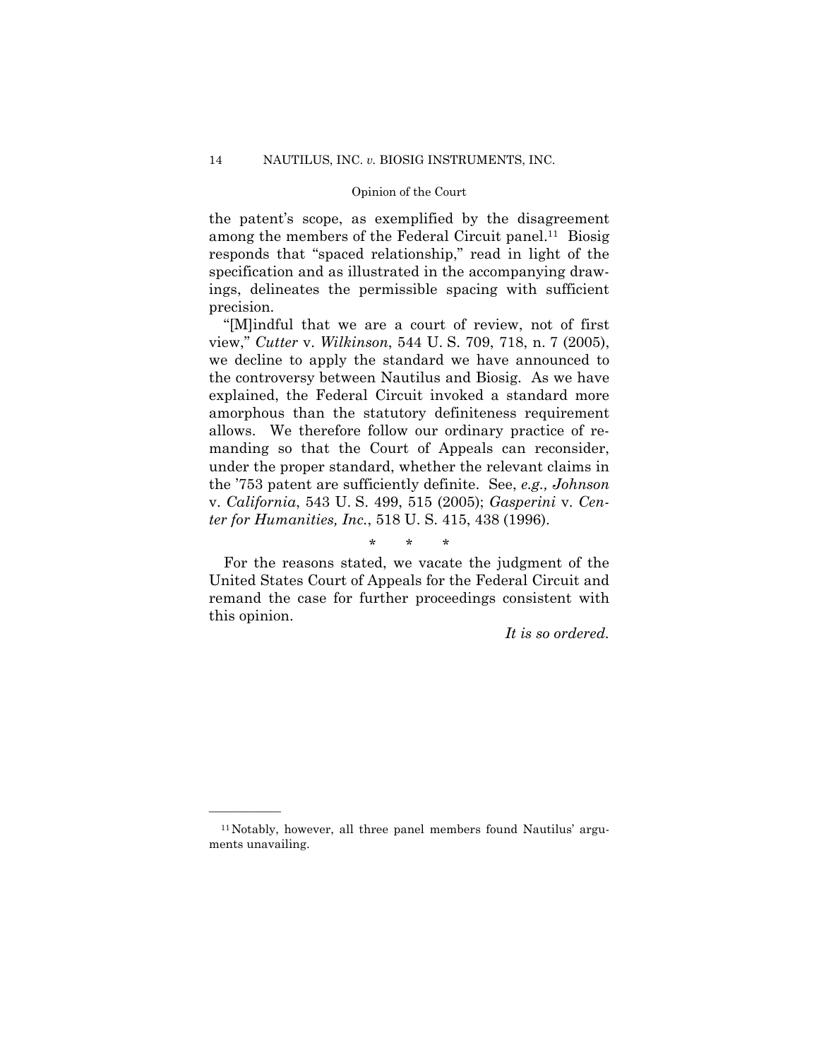among the members of the Federal Circuit panel.<sup>11</sup> Biosig the patent's scope, as exemplified by the disagreement responds that "spaced relationship," read in light of the specification and as illustrated in the accompanying drawings, delineates the permissible spacing with sufficient precision.

"[M]indful that we are a court of review, not of first view," *Cutter* v. *Wilkinson*, 544 U. S. 709, 718, n. 7 (2005), we decline to apply the standard we have announced to the controversy between Nautilus and Biosig. As we have explained, the Federal Circuit invoked a standard more amorphous than the statutory definiteness requirement allows. We therefore follow our ordinary practice of remanding so that the Court of Appeals can reconsider, under the proper standard, whether the relevant claims in the '753 patent are sufficiently definite. See, *e.g., Johnson*  v. *California*, 543 U. S. 499, 515 (2005); *Gasperini* v. *Center for Humanities, Inc.*, 518 U. S. 415, 438 (1996).

## \* \* \*

For the reasons stated, we vacate the judgment of the United States Court of Appeals for the Federal Circuit and remand the case for further proceedings consistent with this opinion.

*It is so ordered.* 

<sup>11</sup>Notably, however, all three panel members found Nautilus' arguments unavailing.